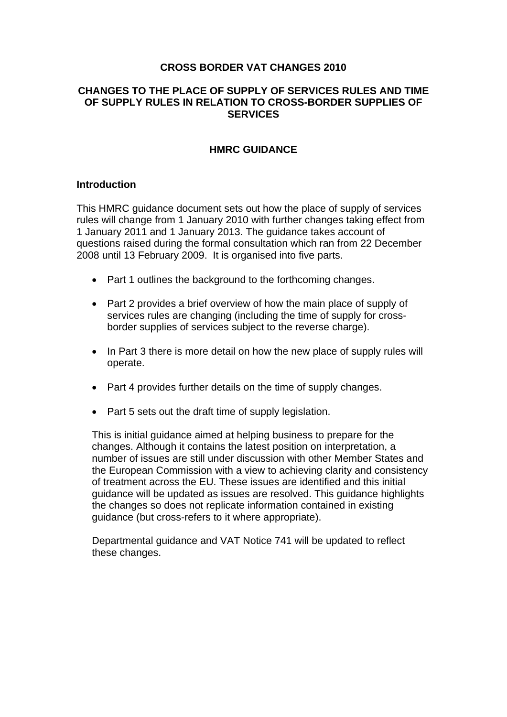#### **CROSS BORDER VAT CHANGES 2010**

#### **CHANGES TO THE PLACE OF SUPPLY OF SERVICES RULES AND TIME OF SUPPLY RULES IN RELATION TO CROSS-BORDER SUPPLIES OF SERVICES**

#### **HMRC GUIDANCE**

#### **Introduction**

This HMRC guidance document sets out how the place of supply of services rules will change from 1 January 2010 with further changes taking effect from 1 January 2011 and 1 January 2013. The guidance takes account of questions raised during the formal consultation which ran from 22 December 2008 until 13 February 2009. It is organised into five parts.

- Part 1 outlines the background to the forthcoming changes.
- Part 2 provides a brief overview of how the main place of supply of services rules are changing (including the time of supply for crossborder supplies of services subject to the reverse charge).
- In Part 3 there is more detail on how the new place of supply rules will operate.
- Part 4 provides further details on the time of supply changes.
- Part 5 sets out the draft time of supply legislation.

This is initial guidance aimed at helping business to prepare for the changes. Although it contains the latest position on interpretation, a number of issues are still under discussion with other Member States and the European Commission with a view to achieving clarity and consistency of treatment across the EU. These issues are identified and this initial guidance will be updated as issues are resolved. This guidance highlights the changes so does not replicate information contained in existing guidance (but cross-refers to it where appropriate).

Departmental guidance and VAT Notice 741 will be updated to reflect these changes.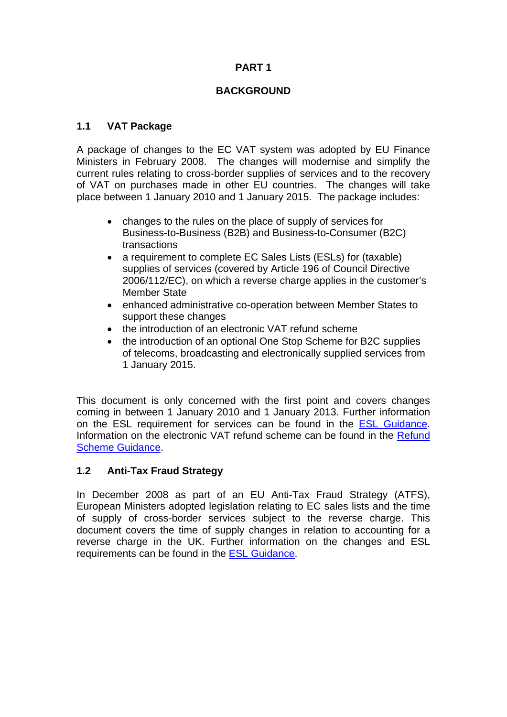### **BACKGROUND**

### **1.1 VAT Package**

A package of changes to the EC VAT system was adopted by EU Finance Ministers in February 2008. The changes will modernise and simplify the current rules relating to cross-border supplies of services and to the recovery of VAT on purchases made in other EU countries. The changes will take place between 1 January 2010 and 1 January 2015. The package includes:

- changes to the rules on the place of supply of services for Business-to-Business (B2B) and Business-to-Consumer (B2C) transactions
- a requirement to complete EC Sales Lists (ESLs) for (taxable) supplies of services (covered by Article 196 of Council Directive 2006/112/EC), on which a reverse charge applies in the customer's Member State
- enhanced administrative co-operation between Member States to support these changes
- the introduction of an electronic VAT refund scheme
- the introduction of an optional One Stop Scheme for B2C supplies of telecoms, broadcasting and electronically supplied services from 1 January 2015.

This document is only concerned with the first point and covers changes coming in between 1 January 2010 and 1 January 2013*.* Further information on the ESL requirement for services can be found in the [ESL Guidance.](http://www.hmrc.gov.uk/vat/ec-sales-lists.pdf) Information on the electronic VAT refund scheme can be found in the [Refund](http://www.hmrc.gov.uk/vat/refund-procedure.pdf)  [Scheme Guidance.](http://www.hmrc.gov.uk/vat/refund-procedure.pdf)

#### **1.2 Anti-Tax Fraud Strategy**

In December 2008 as part of an EU Anti-Tax Fraud Strategy (ATFS), European Ministers adopted legislation relating to EC sales lists and the time of supply of cross-border services subject to the reverse charge. This document covers the time of supply changes in relation to accounting for a reverse charge in the UK. Further information on the changes and ESL requirements can be found in the [ESL Guidance](http://www.hmrc.gov.uk/vat/ec-sales-lists.pdf).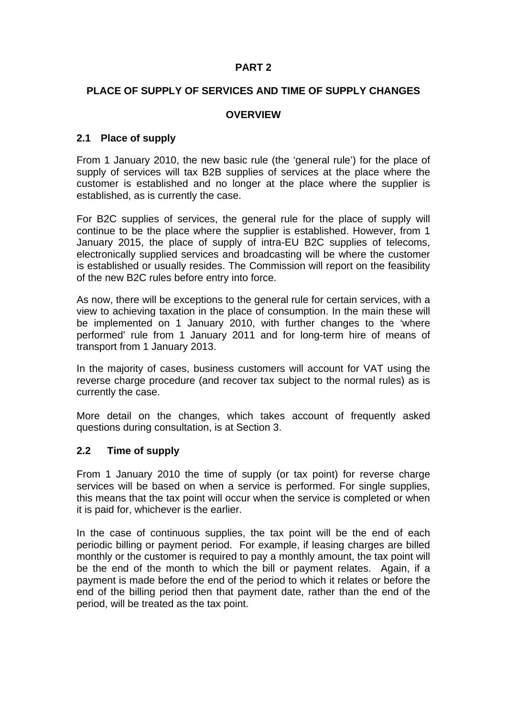#### **PLACE OF SUPPLY OF SERVICES AND TIME OF SUPPLY CHANGES**

#### **OVERVIEW**

#### **2.1 Place of supply**

From 1 January 2010, the new basic rule (the 'general rule') for the place of supply of services will tax B2B supplies of services at the place where the customer is established and no longer at the place where the supplier is established, as is currently the case.

For B2C supplies of services, the general rule for the place of supply will continue to be the place where the supplier is established. However, from 1 January 2015, the place of supply of intra-EU B2C supplies of telecoms, electronically supplied services and broadcasting will be where the customer is established or usually resides. The Commission will report on the feasibility of the new B2C rules before entry into force.

As now, there will be exceptions to the general rule for certain services, with a view to achieving taxation in the place of consumption. In the main these will be implemented on 1 January 2010, with further changes to the 'where performed' rule from 1 January 2011 and for long-term hire of means of transport from 1 January 2013.

In the majority of cases, business customers will account for VAT using the reverse charge procedure (and recover tax subject to the normal rules) as is currently the case.

More detail on the changes, which takes account of frequently asked questions during consultation, is at Section 3.

#### **2.2 Time of supply**

From 1 January 2010 the time of supply (or tax point) for reverse charge services will be based on when a service is performed. For single supplies, this means that the tax point will occur when the service is completed or when it is paid for, whichever is the earlier.

In the case of continuous supplies, the tax point will be the end of each periodic billing or payment period. For example, if leasing charges are billed monthly or the customer is required to pay a monthly amount, the tax point will be the end of the month to which the bill or payment relates. Again, if a payment is made before the end of the period to which it relates or before the end of the billing period then that payment date, rather than the end of the period, will be treated as the tax point.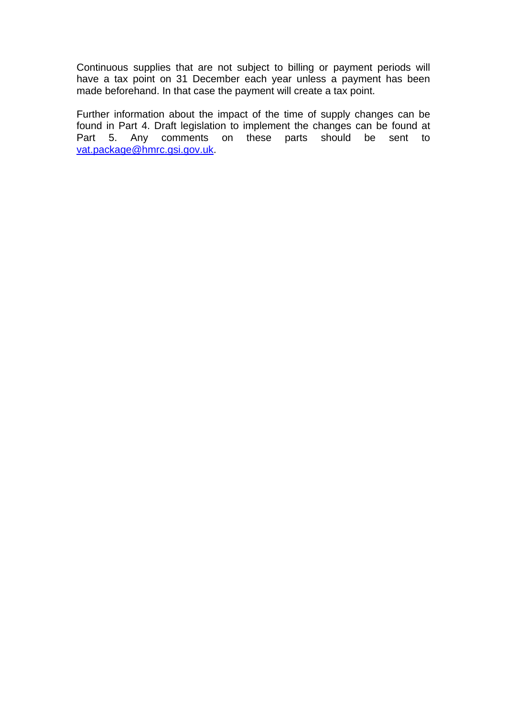Continuous supplies that are not subject to billing or payment periods will have a tax point on 31 December each year unless a payment has been made beforehand. In that case the payment will create a tax point.

Further information about the impact of the time of supply changes can be found in Part 4. Draft legislation to implement the changes can be found at Part 5. Any comments on these parts should be sent to [vat.package@hmrc.gsi.gov.uk.](mailto:vat.package@hmrc.gsi.gov.uk)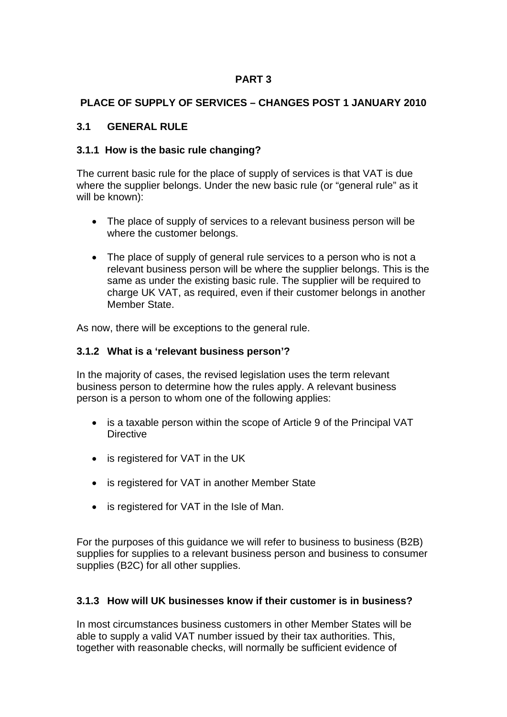### **PLACE OF SUPPLY OF SERVICES – CHANGES POST 1 JANUARY 2010**

### **3.1 GENERAL RULE**

### **3.1.1 How is the basic rule changing?**

The current basic rule for the place of supply of services is that VAT is due where the supplier belongs. Under the new basic rule (or "general rule" as it will be known):

- The place of supply of services to a relevant business person will be where the customer belongs.
- The place of supply of general rule services to a person who is not a relevant business person will be where the supplier belongs. This is the same as under the existing basic rule. The supplier will be required to charge UK VAT, as required, even if their customer belongs in another Member State.

As now, there will be exceptions to the general rule.

#### **3.1.2 What is a 'relevant business person'?**

In the majority of cases, the revised legislation uses the term relevant business person to determine how the rules apply. A relevant business person is a person to whom one of the following applies:

- is a taxable person within the scope of Article 9 of the Principal VAT **Directive**
- is registered for VAT in the UK
- is registered for VAT in another Member State
- is registered for VAT in the Isle of Man.

For the purposes of this guidance we will refer to business to business (B2B) supplies for supplies to a relevant business person and business to consumer supplies (B2C) for all other supplies.

## **3.1.3 How will UK businesses know if their customer is in business?**

In most circumstances business customers in other Member States will be able to supply a valid VAT number issued by their tax authorities. This, together with reasonable checks, will normally be sufficient evidence of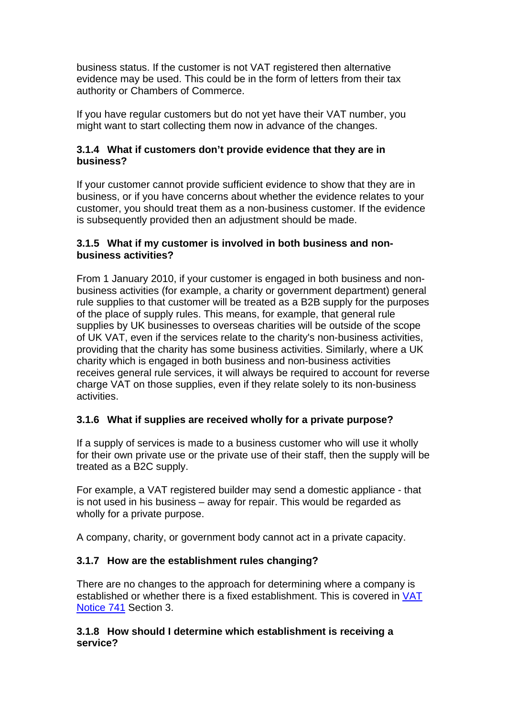business status. If the customer is not VAT registered then alternative evidence may be used. This could be in the form of letters from their tax authority or Chambers of Commerce.

If you have regular customers but do not yet have their VAT number, you might want to start collecting them now in advance of the changes.

### **3.1.4 What if customers don't provide evidence that they are in business?**

If your customer cannot provide sufficient evidence to show that they are in business, or if you have concerns about whether the evidence relates to your customer, you should treat them as a non-business customer. If the evidence is subsequently provided then an adjustment should be made.

#### **3.1.5 What if my customer is involved in both business and nonbusiness activities?**

From 1 January 2010, if your customer is engaged in both business and nonbusiness activities (for example, a charity or government department) general rule supplies to that customer will be treated as a B2B supply for the purposes of the place of supply rules. This means, for example, that general rule supplies by UK businesses to overseas charities will be outside of the scope of UK VAT, even if the services relate to the charity's non-business activities, providing that the charity has some business activities. Similarly, where a UK charity which is engaged in both business and non-business activities receives general rule services, it will always be required to account for reverse charge VAT on those supplies, even if they relate solely to its non-business activities.

## **3.1.6 What if supplies are received wholly for a private purpose?**

If a supply of services is made to a business customer who will use it wholly for their own private use or the private use of their staff, then the supply will be treated as a B2C supply.

For example, a VAT registered builder may send a domestic appliance - that is not used in his business – away for repair. This would be regarded as wholly for a private purpose.

A company, charity, or government body cannot act in a private capacity.

## **3.1.7 How are the establishment rules changing?**

There are no changes to the approach for determining where a company is established or whether there is a fixed establishment. This is covered in [VAT](http://customs.hmrc.gov.uk/channelsPortalWebApp/channelsPortalWebApp.portal?_nfpb=true&_pageLabel=pageLibrary_PublicNoticesAndInfoSheets&propertyType=document&columns=1&id=HMCE_CL_000346)  [Notice 741](http://customs.hmrc.gov.uk/channelsPortalWebApp/channelsPortalWebApp.portal?_nfpb=true&_pageLabel=pageLibrary_PublicNoticesAndInfoSheets&propertyType=document&columns=1&id=HMCE_CL_000346) Section 3.

### **3.1.8 How should I determine which establishment is receiving a service?**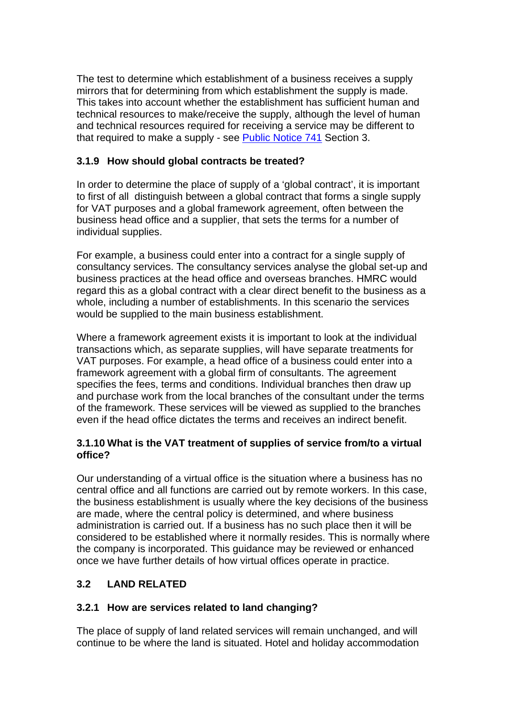The test to determine which establishment of a business receives a supply mirrors that for determining from which establishment the supply is made. This takes into account whether the establishment has sufficient human and technical resources to make/receive the supply, although the level of human and technical resources required for receiving a service may be different to that required to make a supply - see [Public Notice 741](http://customs.hmrc.gov.uk/channelsPortalWebApp/channelsPortalWebApp.portal?_nfpb=true&_pageLabel=pageLibrary_PublicNoticesAndInfoSheets&propertyType=document&columns=1&id=HMCE_CL_000346) Section 3.

## **3.1.9 How should global contracts be treated?**

In order to determine the place of supply of a 'global contract', it is important to first of all distinguish between a global contract that forms a single supply for VAT purposes and a global framework agreement, often between the business head office and a supplier, that sets the terms for a number of individual supplies.

For example, a business could enter into a contract for a single supply of consultancy services. The consultancy services analyse the global set-up and business practices at the head office and overseas branches. HMRC would regard this as a global contract with a clear direct benefit to the business as a whole, including a number of establishments. In this scenario the services would be supplied to the main business establishment.

Where a framework agreement exists it is important to look at the individual transactions which, as separate supplies, will have separate treatments for VAT purposes. For example, a head office of a business could enter into a framework agreement with a global firm of consultants. The agreement specifies the fees, terms and conditions. Individual branches then draw up and purchase work from the local branches of the consultant under the terms of the framework. These services will be viewed as supplied to the branches even if the head office dictates the terms and receives an indirect benefit.

### **3.1.10 What is the VAT treatment of supplies of service from/to a virtual office?**

Our understanding of a virtual office is the situation where a business has no central office and all functions are carried out by remote workers. In this case, the business establishment is usually where the key decisions of the business are made, where the central policy is determined, and where business administration is carried out. If a business has no such place then it will be considered to be established where it normally resides. This is normally where the company is incorporated. This guidance may be reviewed or enhanced once we have further details of how virtual offices operate in practice.

# **3.2 LAND RELATED**

## **3.2.1 How are services related to land changing?**

The place of supply of land related services will remain unchanged, and will continue to be where the land is situated. Hotel and holiday accommodation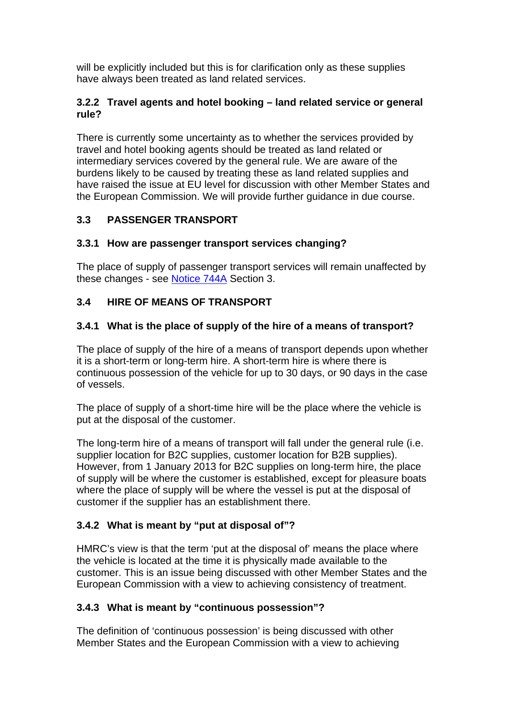will be explicitly included but this is for clarification only as these supplies have always been treated as land related services.

### **3.2.2 Travel agents and hotel booking – land related service or general rule?**

There is currently some uncertainty as to whether the services provided by travel and hotel booking agents should be treated as land related or intermediary services covered by the general rule. We are aware of the burdens likely to be caused by treating these as land related supplies and have raised the issue at EU level for discussion with other Member States and the European Commission. We will provide further guidance in due course.

# **3.3 PASSENGER TRANSPORT**

## **3.3.1 How are passenger transport services changing?**

The place of supply of passenger transport services will remain unaffected by these changes - see [Notice 744A](http://customs.hmrc.gov.uk/channelsPortalWebApp/channelsPortalWebApp.portal?_nfpb=true&_pageLabel=pageLibrary_PublicNoticesAndInfoSheets&propertyType=document&columns=1&id=HMCE_CL_000161) Section 3.

# **3.4 HIRE OF MEANS OF TRANSPORT**

## **3.4.1 What is the place of supply of the hire of a means of transport?**

The place of supply of the hire of a means of transport depends upon whether it is a short-term or long-term hire. A short-term hire is where there is continuous possession of the vehicle for up to 30 days, or 90 days in the case of vessels.

The place of supply of a short-time hire will be the place where the vehicle is put at the disposal of the customer.

The long-term hire of a means of transport will fall under the general rule (i.e. supplier location for B2C supplies, customer location for B2B supplies). However, from 1 January 2013 for B2C supplies on long-term hire, the place of supply will be where the customer is established, except for pleasure boats where the place of supply will be where the vessel is put at the disposal of customer if the supplier has an establishment there.

# **3.4.2 What is meant by "put at disposal of"?**

HMRC's view is that the term 'put at the disposal of' means the place where the vehicle is located at the time it is physically made available to the customer. This is an issue being discussed with other Member States and the European Commission with a view to achieving consistency of treatment.

# **3.4.3 What is meant by "continuous possession"?**

The definition of 'continuous possession' is being discussed with other Member States and the European Commission with a view to achieving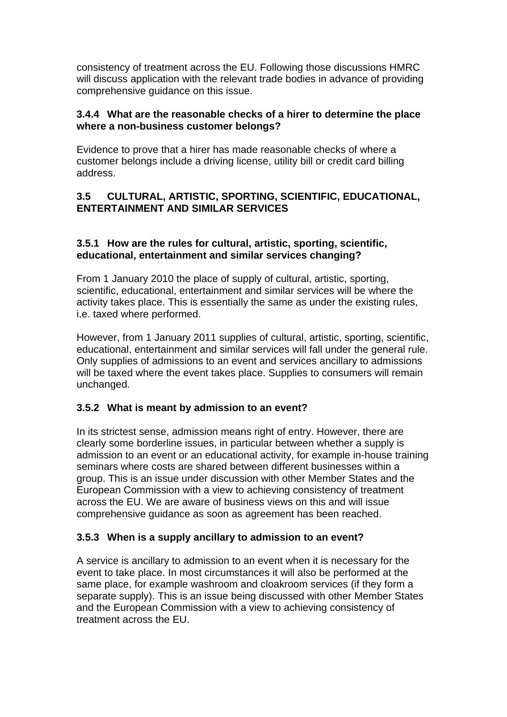consistency of treatment across the EU. Following those discussions HMRC will discuss application with the relevant trade bodies in advance of providing comprehensive guidance on this issue.

#### **3.4.4 What are the reasonable checks of a hirer to determine the place where a non-business customer belongs?**

Evidence to prove that a hirer has made reasonable checks of where a customer belongs include a driving license, utility bill or credit card billing address.

### **3.5 CULTURAL, ARTISTIC, SPORTING, SCIENTIFIC, EDUCATIONAL, ENTERTAINMENT AND SIMILAR SERVICES**

### **3.5.1 How are the rules for cultural, artistic, sporting, scientific, educational, entertainment and similar services changing?**

From 1 January 2010 the place of supply of cultural, artistic, sporting, scientific, educational, entertainment and similar services will be where the activity takes place. This is essentially the same as under the existing rules, i.e. taxed where performed.

However, from 1 January 2011 supplies of cultural, artistic, sporting, scientific, educational, entertainment and similar services will fall under the general rule. Only supplies of admissions to an event and services ancillary to admissions will be taxed where the event takes place. Supplies to consumers will remain unchanged.

## **3.5.2 What is meant by admission to an event?**

In its strictest sense, admission means right of entry. However, there are clearly some borderline issues, in particular between whether a supply is admission to an event or an educational activity, for example in-house training seminars where costs are shared between different businesses within a group. This is an issue under discussion with other Member States and the European Commission with a view to achieving consistency of treatment across the EU. We are aware of business views on this and will issue comprehensive guidance as soon as agreement has been reached.

#### **3.5.3 When is a supply ancillary to admission to an event?**

A service is ancillary to admission to an event when it is necessary for the event to take place. In most circumstances it will also be performed at the same place, for example washroom and cloakroom services (if they form a separate supply). This is an issue being discussed with other Member States and the European Commission with a view to achieving consistency of treatment across the EU.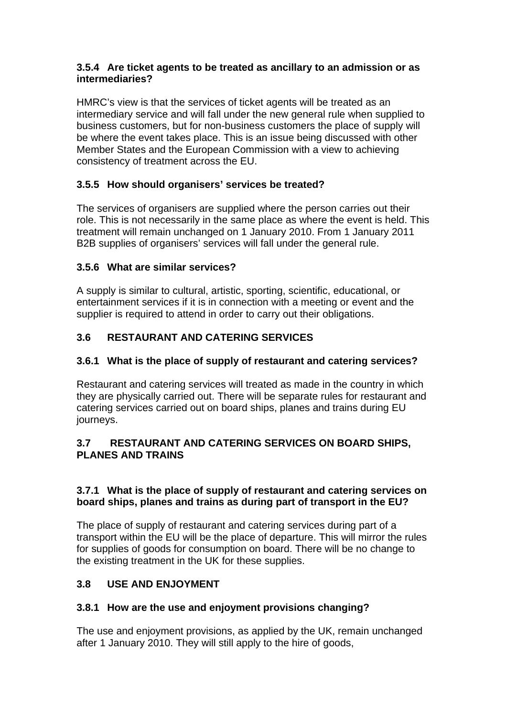### **3.5.4 Are ticket agents to be treated as ancillary to an admission or as intermediaries?**

HMRC's view is that the services of ticket agents will be treated as an intermediary service and will fall under the new general rule when supplied to business customers, but for non-business customers the place of supply will be where the event takes place. This is an issue being discussed with other Member States and the European Commission with a view to achieving consistency of treatment across the EU.

# **3.5.5 How should organisers' services be treated?**

The services of organisers are supplied where the person carries out their role. This is not necessarily in the same place as where the event is held. This treatment will remain unchanged on 1 January 2010. From 1 January 2011 B2B supplies of organisers' services will fall under the general rule.

## **3.5.6 What are similar services?**

A supply is similar to cultural, artistic, sporting, scientific, educational, or entertainment services if it is in connection with a meeting or event and the supplier is required to attend in order to carry out their obligations.

# **3.6 RESTAURANT AND CATERING SERVICES**

## **3.6.1 What is the place of supply of restaurant and catering services?**

Restaurant and catering services will treated as made in the country in which they are physically carried out. There will be separate rules for restaurant and catering services carried out on board ships, planes and trains during EU journeys.

## **3.7 RESTAURANT AND CATERING SERVICES ON BOARD SHIPS, PLANES AND TRAINS**

## **3.7.1 What is the place of supply of restaurant and catering services on board ships, planes and trains as during part of transport in the EU?**

The place of supply of restaurant and catering services during part of a transport within the EU will be the place of departure. This will mirror the rules for supplies of goods for consumption on board. There will be no change to the existing treatment in the UK for these supplies.

# **3.8 USE AND ENJOYMENT**

# **3.8.1 How are the use and enjoyment provisions changing?**

The use and enjoyment provisions, as applied by the UK, remain unchanged after 1 January 2010. They will still apply to the hire of goods,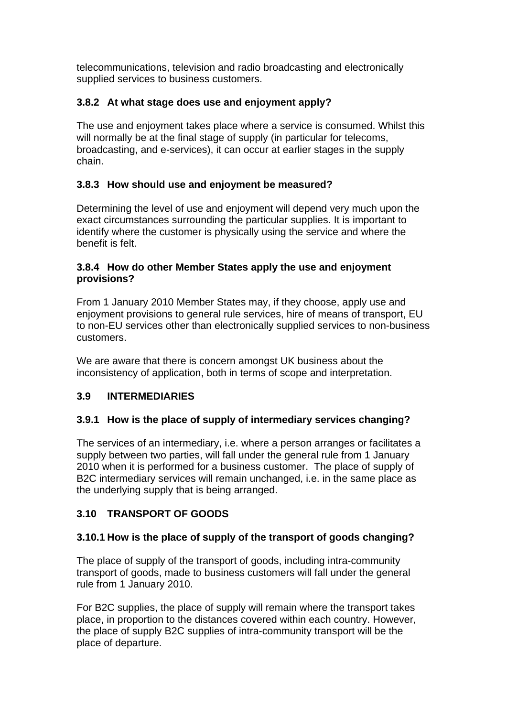telecommunications, television and radio broadcasting and electronically supplied services to business customers.

# **3.8.2 At what stage does use and enjoyment apply?**

The use and enjoyment takes place where a service is consumed. Whilst this will normally be at the final stage of supply (in particular for telecoms, broadcasting, and e-services), it can occur at earlier stages in the supply chain.

## **3.8.3 How should use and enjoyment be measured?**

Determining the level of use and enjoyment will depend very much upon the exact circumstances surrounding the particular supplies. It is important to identify where the customer is physically using the service and where the benefit is felt.

### **3.8.4 How do other Member States apply the use and enjoyment provisions?**

From 1 January 2010 Member States may, if they choose, apply use and enjoyment provisions to general rule services, hire of means of transport, EU to non-EU services other than electronically supplied services to non-business customers.

We are aware that there is concern amongst UK business about the inconsistency of application, both in terms of scope and interpretation.

## **3.9 INTERMEDIARIES**

## **3.9.1 How is the place of supply of intermediary services changing?**

The services of an intermediary, i.e. where a person arranges or facilitates a supply between two parties, will fall under the general rule from 1 January 2010 when it is performed for a business customer. The place of supply of B2C intermediary services will remain unchanged, i.e. in the same place as the underlying supply that is being arranged.

# **3.10 TRANSPORT OF GOODS**

## **3.10.1 How is the place of supply of the transport of goods changing?**

The place of supply of the transport of goods, including intra-community transport of goods, made to business customers will fall under the general rule from 1 January 2010.

For B2C supplies, the place of supply will remain where the transport takes place, in proportion to the distances covered within each country. However, the place of supply B2C supplies of intra-community transport will be the place of departure.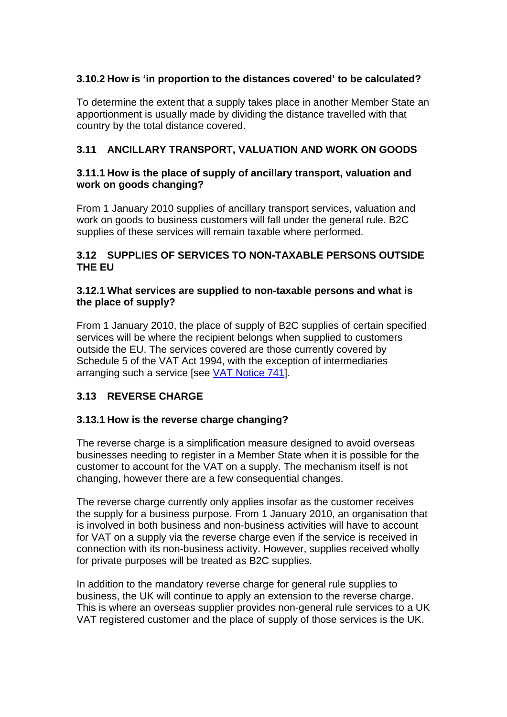### **3.10.2 How is 'in proportion to the distances covered' to be calculated?**

To determine the extent that a supply takes place in another Member State an apportionment is usually made by dividing the distance travelled with that country by the total distance covered.

### **3.11 ANCILLARY TRANSPORT, VALUATION AND WORK ON GOODS**

#### **3.11.1 How is the place of supply of ancillary transport, valuation and work on goods changing?**

From 1 January 2010 supplies of ancillary transport services, valuation and work on goods to business customers will fall under the general rule. B2C supplies of these services will remain taxable where performed.

### **3.12 SUPPLIES OF SERVICES TO NON-TAXABLE PERSONS OUTSIDE THE EU**

#### **3.12.1 What services are supplied to non-taxable persons and what is the place of supply?**

From 1 January 2010, the place of supply of B2C supplies of certain specified services will be where the recipient belongs when supplied to customers outside the EU. The services covered are those currently covered by Schedule 5 of the VAT Act 1994, with the exception of intermediaries arranging such a service [see [VAT Notice 741](http://customs.hmrc.gov.uk/channelsPortalWebApp/channelsPortalWebApp.portal?_nfpb=true&_pageLabel=pageLibrary_PublicNoticesAndInfoSheets&propertyType=document&columns=1&id=HMCE_CL_000346)].

## **3.13 REVERSE CHARGE**

#### **3.13.1 How is the reverse charge changing?**

The reverse charge is a simplification measure designed to avoid overseas businesses needing to register in a Member State when it is possible for the customer to account for the VAT on a supply. The mechanism itself is not changing, however there are a few consequential changes.

The reverse charge currently only applies insofar as the customer receives the supply for a business purpose. From 1 January 2010, an organisation that is involved in both business and non-business activities will have to account for VAT on a supply via the reverse charge even if the service is received in connection with its non-business activity. However, supplies received wholly for private purposes will be treated as B2C supplies.

In addition to the mandatory reverse charge for general rule supplies to business, the UK will continue to apply an extension to the reverse charge. This is where an overseas supplier provides non-general rule services to a UK VAT registered customer and the place of supply of those services is the UK.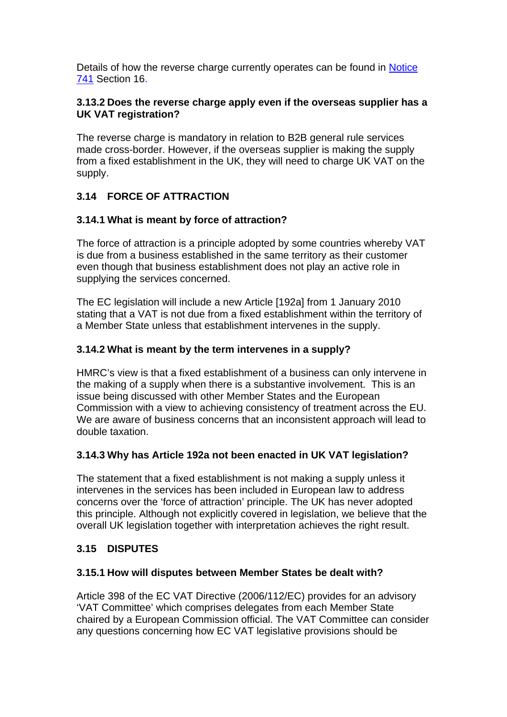Details of how the reverse charge currently operates can be found in [Notice](http://customs.hmrc.gov.uk/channelsPortalWebApp/channelsPortalWebApp.portal?_nfpb=true&_pageLabel=pageLibrary_PublicNoticesAndInfoSheets&propertyType=document&columns=1&id=HMCE_CL_000346)  [741](http://customs.hmrc.gov.uk/channelsPortalWebApp/channelsPortalWebApp.portal?_nfpb=true&_pageLabel=pageLibrary_PublicNoticesAndInfoSheets&propertyType=document&columns=1&id=HMCE_CL_000346) Section 16.

## **3.13.2 Does the reverse charge apply even if the overseas supplier has a UK VAT registration?**

The reverse charge is mandatory in relation to B2B general rule services made cross-border. However, if the overseas supplier is making the supply from a fixed establishment in the UK, they will need to charge UK VAT on the supply.

# **3.14 FORCE OF ATTRACTION**

## **3.14.1 What is meant by force of attraction?**

The force of attraction is a principle adopted by some countries whereby VAT is due from a business established in the same territory as their customer even though that business establishment does not play an active role in supplying the services concerned.

The EC legislation will include a new Article [192a] from 1 January 2010 stating that a VAT is not due from a fixed establishment within the territory of a Member State unless that establishment intervenes in the supply.

## **3.14.2 What is meant by the term intervenes in a supply?**

HMRC's view is that a fixed establishment of a business can only intervene in the making of a supply when there is a substantive involvement. This is an issue being discussed with other Member States and the European Commission with a view to achieving consistency of treatment across the EU. We are aware of business concerns that an inconsistent approach will lead to double taxation.

## **3.14.3 Why has Article 192a not been enacted in UK VAT legislation?**

The statement that a fixed establishment is not making a supply unless it intervenes in the services has been included in European law to address concerns over the 'force of attraction' principle. The UK has never adopted this principle. Although not explicitly covered in legislation, we believe that the overall UK legislation together with interpretation achieves the right result.

## **3.15 DISPUTES**

## **3.15.1 How will disputes between Member States be dealt with?**

Article 398 of the EC VAT Directive (2006/112/EC) provides for an advisory 'VAT Committee' which comprises delegates from each Member State chaired by a European Commission official. The VAT Committee can consider any questions concerning how EC VAT legislative provisions should be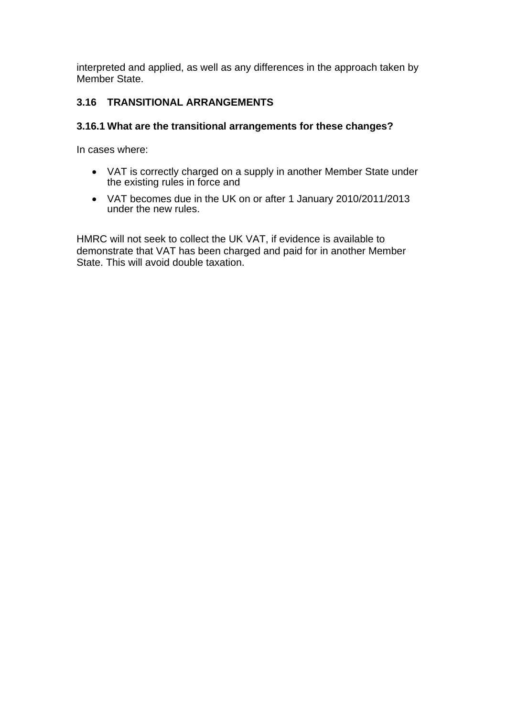interpreted and applied, as well as any differences in the approach taken by Member State.

## **3.16 TRANSITIONAL ARRANGEMENTS**

### **3.16.1 What are the transitional arrangements for these changes?**

In cases where:

- VAT is correctly charged on a supply in another Member State under the existing rules in force and
- VAT becomes due in the UK on or after 1 January 2010/2011/2013 under the new rules.

HMRC will not seek to collect the UK VAT, if evidence is available to demonstrate that VAT has been charged and paid for in another Member State. This will avoid double taxation.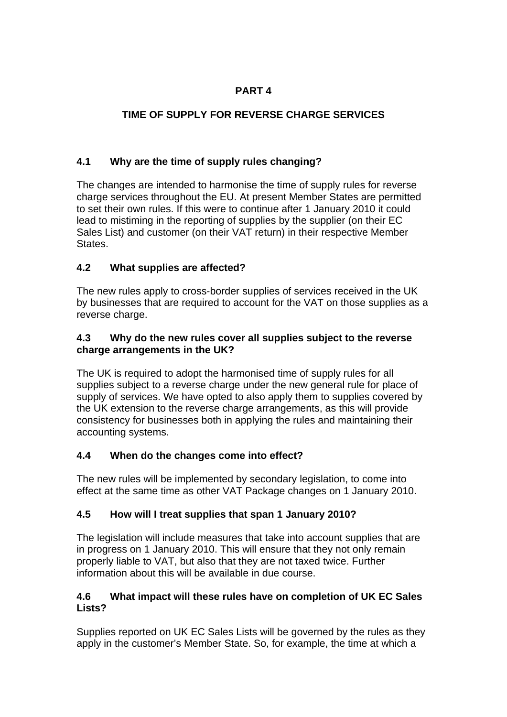# **TIME OF SUPPLY FOR REVERSE CHARGE SERVICES**

# **4.1 Why are the time of supply rules changing?**

The changes are intended to harmonise the time of supply rules for reverse charge services throughout the EU. At present Member States are permitted to set their own rules. If this were to continue after 1 January 2010 it could lead to mistiming in the reporting of supplies by the supplier (on their EC Sales List) and customer (on their VAT return) in their respective Member States.

# **4.2 What supplies are affected?**

The new rules apply to cross-border supplies of services received in the UK by businesses that are required to account for the VAT on those supplies as a reverse charge.

## **4.3 Why do the new rules cover all supplies subject to the reverse charge arrangements in the UK?**

The UK is required to adopt the harmonised time of supply rules for all supplies subject to a reverse charge under the new general rule for place of supply of services. We have opted to also apply them to supplies covered by the UK extension to the reverse charge arrangements, as this will provide consistency for businesses both in applying the rules and maintaining their accounting systems.

# **4.4 When do the changes come into effect?**

The new rules will be implemented by secondary legislation, to come into effect at the same time as other VAT Package changes on 1 January 2010.

# **4.5 How will I treat supplies that span 1 January 2010?**

The legislation will include measures that take into account supplies that are in progress on 1 January 2010. This will ensure that they not only remain properly liable to VAT, but also that they are not taxed twice. Further information about this will be available in due course.

## **4.6 What impact will these rules have on completion of UK EC Sales Lists?**

Supplies reported on UK EC Sales Lists will be governed by the rules as they apply in the customer's Member State. So, for example, the time at which a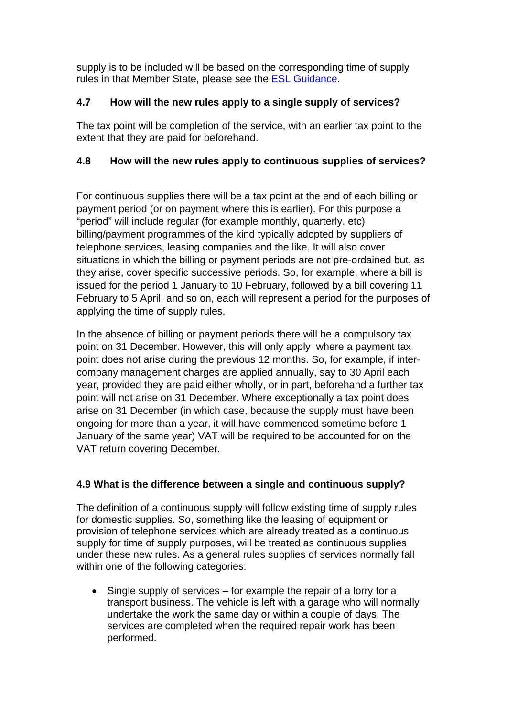supply is to be included will be based on the corresponding time of supply rules in that Member State, please see the [ESL Guidance](http://www.hmrc.gov.uk/vat/ec-sales-lists.pdf).

## **4.7 How will the new rules apply to a single supply of services?**

The tax point will be completion of the service, with an earlier tax point to the extent that they are paid for beforehand.

## **4.8 How will the new rules apply to continuous supplies of services?**

For continuous supplies there will be a tax point at the end of each billing or payment period (or on payment where this is earlier). For this purpose a "period" will include regular (for example monthly, quarterly, etc) billing/payment programmes of the kind typically adopted by suppliers of telephone services, leasing companies and the like. It will also cover situations in which the billing or payment periods are not pre-ordained but, as they arise, cover specific successive periods. So, for example, where a bill is issued for the period 1 January to 10 February, followed by a bill covering 11 February to 5 April, and so on, each will represent a period for the purposes of applying the time of supply rules.

In the absence of billing or payment periods there will be a compulsory tax point on 31 December. However, this will only apply where a payment tax point does not arise during the previous 12 months. So, for example, if intercompany management charges are applied annually, say to 30 April each year, provided they are paid either wholly, or in part, beforehand a further tax point will not arise on 31 December. Where exceptionally a tax point does arise on 31 December (in which case, because the supply must have been ongoing for more than a year, it will have commenced sometime before 1 January of the same year) VAT will be required to be accounted for on the VAT return covering December.

# **4.9 What is the difference between a single and continuous supply?**

The definition of a continuous supply will follow existing time of supply rules for domestic supplies. So, something like the leasing of equipment or provision of telephone services which are already treated as a continuous supply for time of supply purposes, will be treated as continuous supplies under these new rules. As a general rules supplies of services normally fall within one of the following categories:

 Single supply of services – for example the repair of a lorry for a transport business. The vehicle is left with a garage who will normally undertake the work the same day or within a couple of days. The services are completed when the required repair work has been performed.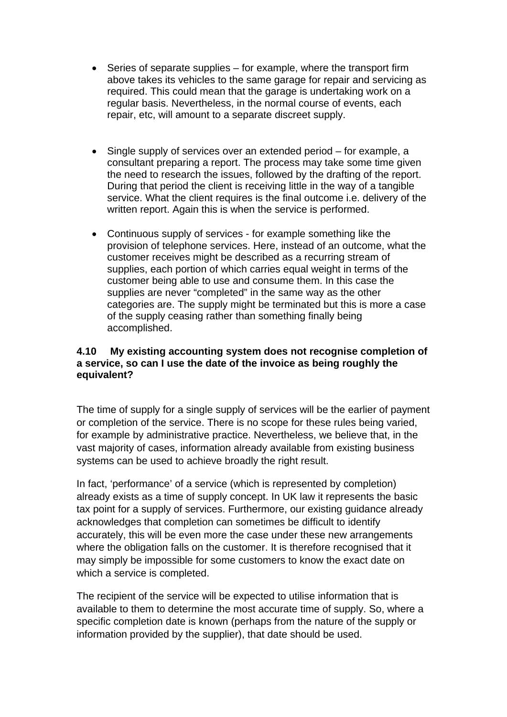- Series of separate supplies for example, where the transport firm above takes its vehicles to the same garage for repair and servicing as required. This could mean that the garage is undertaking work on a regular basis. Nevertheless, in the normal course of events, each repair, etc, will amount to a separate discreet supply.
- Single supply of services over an extended period for example, a consultant preparing a report. The process may take some time given the need to research the issues, followed by the drafting of the report. During that period the client is receiving little in the way of a tangible service. What the client requires is the final outcome i.e. delivery of the written report. Again this is when the service is performed.
- Continuous supply of services for example something like the provision of telephone services. Here, instead of an outcome, what the customer receives might be described as a recurring stream of supplies, each portion of which carries equal weight in terms of the customer being able to use and consume them. In this case the supplies are never "completed" in the same way as the other categories are. The supply might be terminated but this is more a case of the supply ceasing rather than something finally being accomplished.

### **4.10 My existing accounting system does not recognise completion of a service, so can I use the date of the invoice as being roughly the equivalent?**

The time of supply for a single supply of services will be the earlier of payment or completion of the service. There is no scope for these rules being varied, for example by administrative practice. Nevertheless, we believe that, in the vast majority of cases, information already available from existing business systems can be used to achieve broadly the right result.

In fact, 'performance' of a service (which is represented by completion) already exists as a time of supply concept. In UK law it represents the basic tax point for a supply of services. Furthermore, our existing guidance already acknowledges that completion can sometimes be difficult to identify accurately, this will be even more the case under these new arrangements where the obligation falls on the customer. It is therefore recognised that it may simply be impossible for some customers to know the exact date on which a service is completed.

The recipient of the service will be expected to utilise information that is available to them to determine the most accurate time of supply. So, where a specific completion date is known (perhaps from the nature of the supply or information provided by the supplier), that date should be used.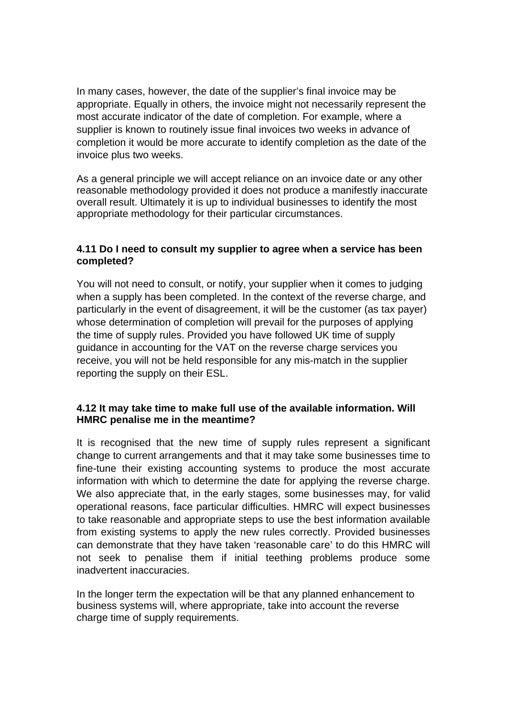In many cases, however, the date of the supplier's final invoice may be appropriate. Equally in others, the invoice might not necessarily represent the most accurate indicator of the date of completion. For example, where a supplier is known to routinely issue final invoices two weeks in advance of completion it would be more accurate to identify completion as the date of the invoice plus two weeks.

As a general principle we will accept reliance on an invoice date or any other reasonable methodology provided it does not produce a manifestly inaccurate overall result. Ultimately it is up to individual businesses to identify the most appropriate methodology for their particular circumstances.

### **4.11 Do I need to consult my supplier to agree when a service has been completed?**

You will not need to consult, or notify, your supplier when it comes to judging when a supply has been completed. In the context of the reverse charge, and particularly in the event of disagreement, it will be the customer (as tax payer) whose determination of completion will prevail for the purposes of applying the time of supply rules. Provided you have followed UK time of supply guidance in accounting for the VAT on the reverse charge services you receive, you will not be held responsible for any mis-match in the supplier reporting the supply on their ESL.

#### **4.12 It may take time to make full use of the available information. Will HMRC penalise me in the meantime?**

It is recognised that the new time of supply rules represent a significant change to current arrangements and that it may take some businesses time to fine-tune their existing accounting systems to produce the most accurate information with which to determine the date for applying the reverse charge. We also appreciate that, in the early stages, some businesses may, for valid operational reasons, face particular difficulties. HMRC will expect businesses to take reasonable and appropriate steps to use the best information available from existing systems to apply the new rules correctly. Provided businesses can demonstrate that they have taken 'reasonable care' to do this HMRC will not seek to penalise them if initial teething problems produce some inadvertent inaccuracies.

In the longer term the expectation will be that any planned enhancement to business systems will, where appropriate, take into account the reverse charge time of supply requirements.